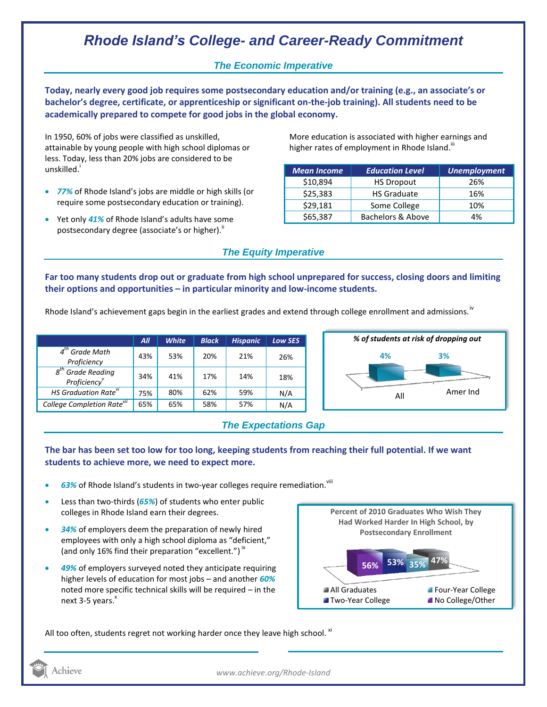# *Rhode Island's College- and Career-Ready Commitment*

### *The Economic Imperative*

**Today, nearly every good job requires some postsecondary education and/or training (e.g., an associate's or bachelor's degree, certificate, or apprenticeship or significant on-the-job training). All students need to be academically prepared to compete for good jobs in the global economy.**

In 1950, 60% of jobs were classified as unskilled, attainable by young people with high school diplomas or less. Today, less than 20% jobs are considered to be unskilled.<sup>1</sup>

- *77%* of Rhode Island's jobs are middle or high skills (or require some postsecondary education or training).
- Yet only 41% of Rhode Island's adults have some postsecondary degree (associate's or higher)."

More education is associated with higher earnings and higher rates of employment in Rhode Island.<sup>III</sup>

| <b>Mean Income</b> | <b>Education Level</b> | <b>Unemployment</b> |
|--------------------|------------------------|---------------------|
| \$10,894           | <b>HS Dropout</b>      | 26%                 |
| \$25,383           | <b>HS Graduate</b>     | 16%                 |
| \$29,181           | Some College           | 10%                 |
| \$65,387           | Bachelors & Above      | 4%                  |

## *The Equity Imperative*

**Far too many students drop out or graduate from high school unprepared for success, closing doors and limiting their options and opportunities – in particular minority and low-income students.** 

Rhode Island's achievement gaps begin in the earliest grades and extend through college enrollment and admissions.<sup>iv</sup>

|                                                                    | All | <b>White</b> | <b>Black</b> | <b>Hispanic</b> | <b>Low SES</b> |
|--------------------------------------------------------------------|-----|--------------|--------------|-----------------|----------------|
| $4th$ Grade Math<br>Proficiency                                    | 43% | 53%          | 20%          | 21%             | 26%            |
| $g^{th}$<br><sup>h</sup> Grade Reading<br>Proficiency <sup>v</sup> | 34% | 41%          | 17%          | 14%             | 18%            |
| HS Graduation Rate <sup>vi</sup>                                   | 75% | 80%          | 62%          | 59%             | N/A            |
| College Completion Rate <sup>vil</sup>                             | 65% | 65%          | 58%          | 57%             | N/A            |



### *The Expectations Gap*

#### **The bar has been set too low for too long, keeping students from reaching their full potential. If we want students to achieve more, we need to expect more.**

- 63% of Rhode Island's students in two-year colleges require remediation.<sup>viii</sup>
- Less than two-thirds (*65%*) of students who enter public colleges in Rhode Island earn their degrees.
- *34%* of employers deem the preparation of newly hired employees with only a high school diploma as "deficient," (and only 16% find their preparation "excellent.")<sup>ix</sup>
- *49%* of employers surveyed noted they anticipate requiring higher levels of education for most jobs – and another *60%* noted more specific technical skills will be required – in the next  $3-5$  years. $^{x}$



All too often, students regret not working harder once they leave high school.  $^{xi}$ 



*www.achieve.org/Rhode-Island*